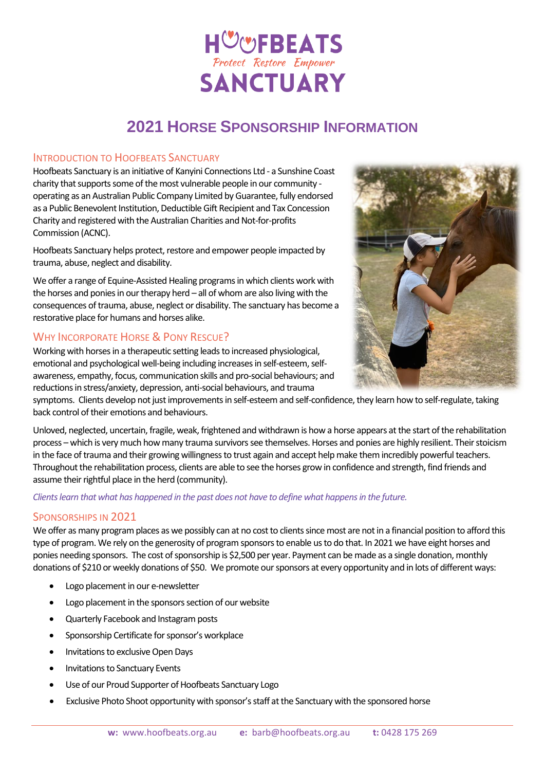# HUUFBEATS **SANCTUARY**

### **2021 HORSE SPONSORSHIP INFORMATION**

#### INTRODUCTION TO HOOFBEATS SANCTUARY

Hoofbeats Sanctuary is an initiative of Kanyini Connections Ltd - a Sunshine Coast charity that supports some of the most vulnerable people in our community operating as an Australian Public Company Limited by Guarantee, fully endorsed as a Public Benevolent Institution, Deductible Gift Recipient and Tax Concession Charity and registered with the Australian Charities and Not-for-profits Commission (ACNC).

Hoofbeats Sanctuary helps protect, restore and empower people impacted by trauma, abuse, neglect and disability.

We offer a range of Equine-Assisted Healing programs in which clients work with the horses and ponies in our therapy herd – all of whom are also living with the consequences of trauma, abuse, neglect or disability. The sanctuary has become a restorative place for humans and horses alike.

#### WHY INCORPORATE HORSE & PONY RESCUE?



Working with horses in a therapeutic setting leads to increased physiological, emotional and psychological well-being including increases in self-esteem, selfawareness, empathy, focus, communication skills and pro-social behaviours; and reductions in stress/anxiety, depression, anti-social behaviours, and trauma

symptoms. Clients develop not just improvements in self-esteem and self-confidence, they learn how to self-regulate, taking back control of their emotions and behaviours.

Unloved, neglected, uncertain, fragile, weak, frightened and withdrawn is how a horse appears at the start of the rehabilitation process – which is very much how many trauma survivorssee themselves. Horses and ponies are highly resilient. Their stoicism in the face of trauma and their growing willingness to trust again and accept help make them incredibly powerful teachers. Throughout the rehabilitation process, clients are able to see the horses grow in confidence and strength, find friends and assume their rightful place in the herd (community).

*Clientslearn that what has happened in the past does not have to define what happens in the future.*

#### SPONSORSHIPS IN 2021

We offer as many program places as we possibly can at no cost to clients since most are not in a financial position to afford this type of program. We rely on the generosity of program sponsors to enable us to do that. In 2021 we have eight horses and ponies needing sponsors. The cost of sponsorship is \$2,500 per year. Payment can be made as a single donation, monthly donations of \$210 or weekly donations of \$50. We promote our sponsors at every opportunity and in lots of different ways:

- Logo placement in our e-newsletter
- Logo placement in the sponsors section of our website
- Quarterly Facebook and Instagram posts
- Sponsorship Certificate for sponsor's workplace
- Invitations to exclusive Open Days
- Invitations to Sanctuary Events
- Use of our Proud Supporter of Hoofbeats Sanctuary Logo
- Exclusive Photo Shoot opportunity with sponsor's staff at the Sanctuary with the sponsored horse